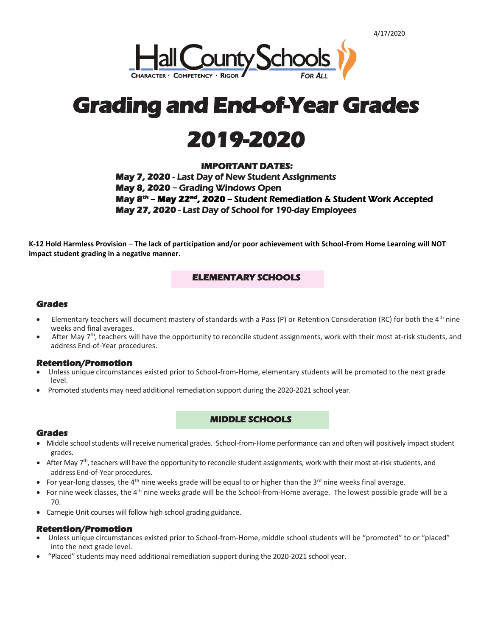



# **2019-2020**

# **IMPORTANT DATES:**

**May 7, 2020** - Last Day of New Student Assignments **May 8, 2020 –** Grading Windows Open **May 8th – May 22nd, 2020 –** Student Remediation & Student Work Accepted **May 27, 2020** - Last Day of School for 190-day Employees

**K-12 Hold Harmless Provision** – **The lack of participation and/or poor achievement with School-From Home Learning will NOT impact student grading in a negative manner.**

## **ELEMENTARY SCHOOLS**

## **Grades**

- Elementary teachers will document mastery of standards with a Pass (P) or Retention Consideration (RC) for both the  $4<sup>th</sup>$  nine weeks and final averages.
- After May 7<sup>th</sup>, teachers will have the opportunity to reconcile student assignments, work with their most at-risk students, and address End-of-Year procedures.

#### **Retention/Promotion**

- Unless unique circumstances existed prior to School-from-Home, elementary students will be promoted to the next grade level.
- Promoted students may need additional remediation support during the 2020-2021 school year.

## **MIDDLE SCHOOLS**

#### **Grades**

- Middle school students will receive numerical grades. School-from-Home performance can and often will positively impact student grades.
- After May 7<sup>th</sup>, teachers will have the opportunity to reconcile student assignments, work with their most at-risk students, and address End-of-Year procedures.
- For year-long classes, the 4<sup>th</sup> nine weeks grade will be equal to or higher than the 3<sup>rd</sup> nine weeks final average.
- $\bullet$  For nine week classes, the 4<sup>th</sup> nine weeks grade will be the School-from-Home average. The lowest possible grade will be a 70.
- Carnegie Unit courses will follow high school grading guidance.

#### **Retention/Promotion**

- Unless unique circumstances existed prior to School-from-Home, middle school students will be "promoted" to or "placed" into the next grade level.
- "Placed" students may need additional remediation support during the 2020-2021 school year.